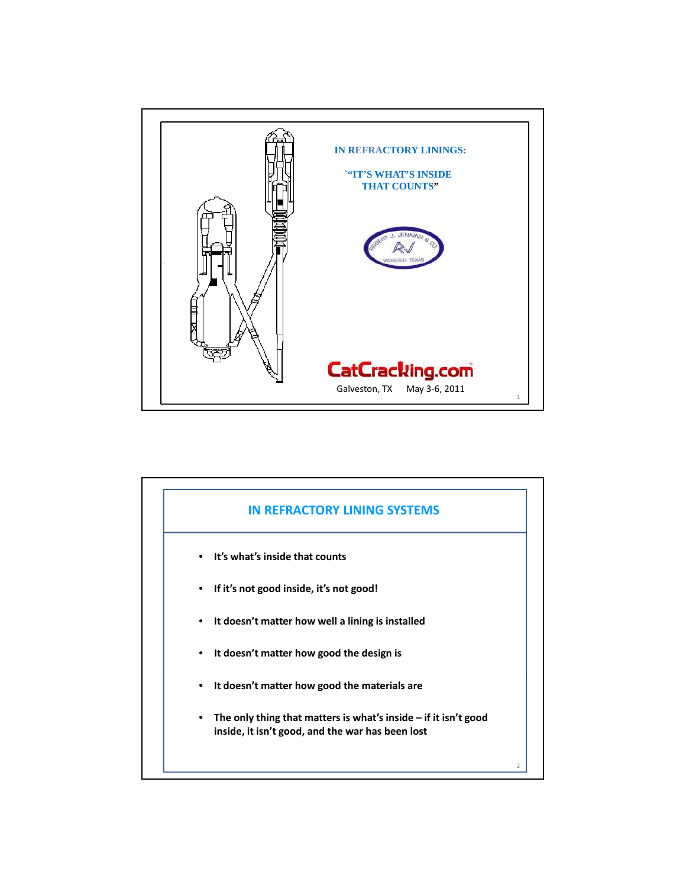

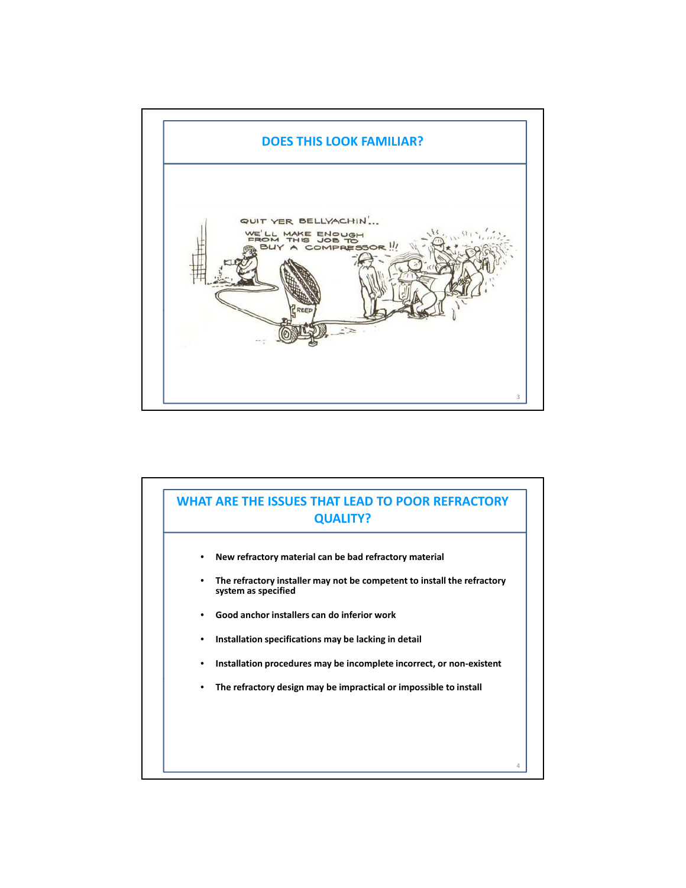

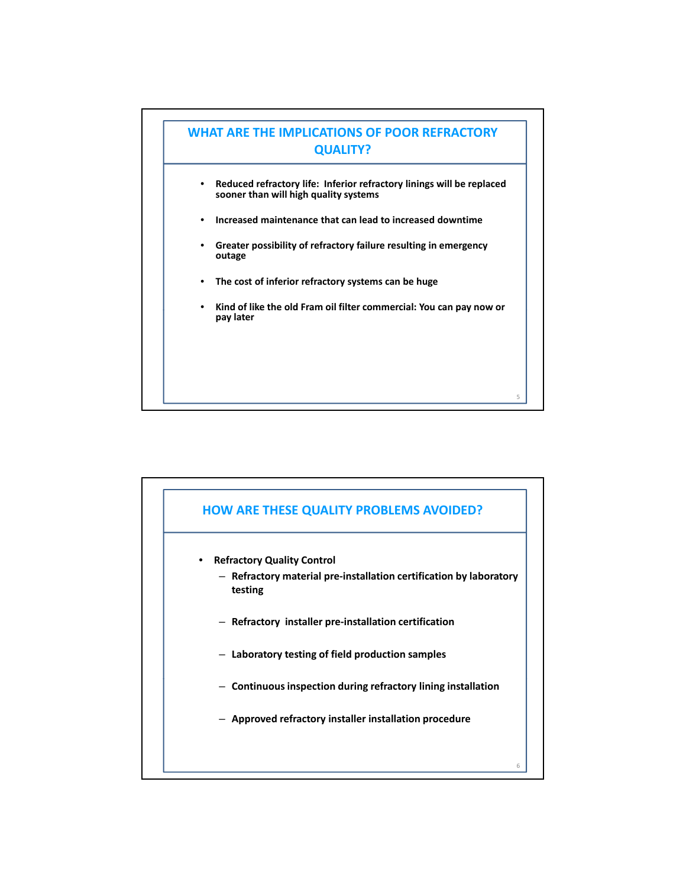

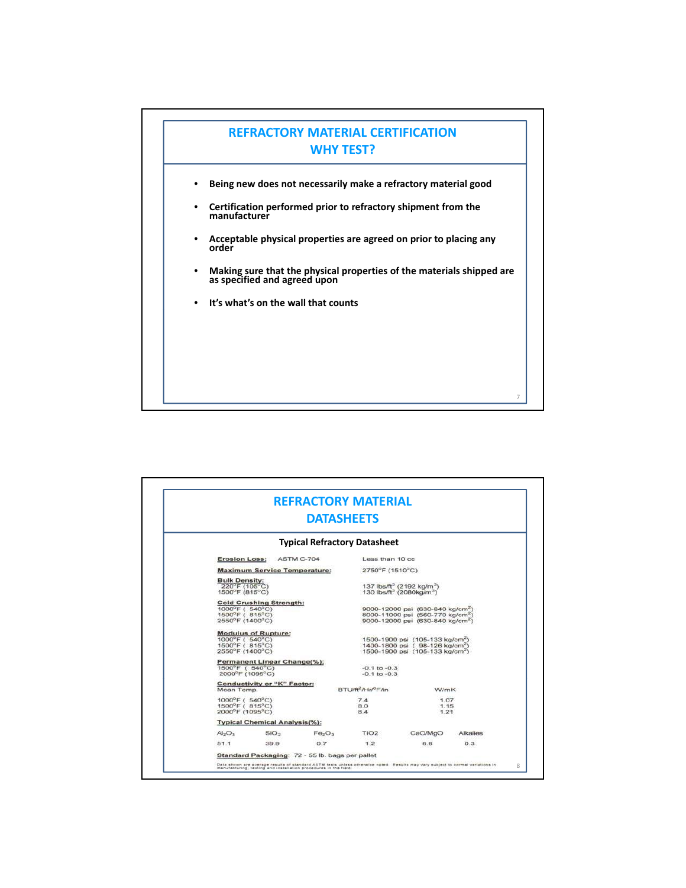

|                                                                                       | <b>REFRACTORY MATERIAL</b><br><b>DATASHEETS</b>                  |                                            |                                                                                                                                             |                      |  |  |
|---------------------------------------------------------------------------------------|------------------------------------------------------------------|--------------------------------------------|---------------------------------------------------------------------------------------------------------------------------------------------|----------------------|--|--|
|                                                                                       |                                                                  | <b>Typical Refractory Datasheet</b>        |                                                                                                                                             |                      |  |  |
| <b>Erosion Loss:</b>                                                                  | <b>ASTM C-704</b>                                                | Less than 10 cc                            |                                                                                                                                             |                      |  |  |
|                                                                                       | <b>Maximum Service Temperature:</b>                              | 2750°F (1510°C)                            |                                                                                                                                             |                      |  |  |
| <b>Bulk Density:</b><br>$220^{\circ}$ F (105 $^{\circ}$ C)<br>1500°F (815°C)          |                                                                  |                                            | 137 lbs/ft <sup>3</sup> (2192 kg/m <sup>3</sup> )<br>130 lbs/ft <sup>3</sup> (2080kg/m <sup>3</sup> )                                       |                      |  |  |
| <b>Cold Crushing Strength:</b><br>1000°F (540°C)<br>1500°F (815°C)<br>2550°F (1400°C) |                                                                  |                                            | 9000-12000 psi (630-840 kg/cm <sup>2</sup> )<br>8000-11000 psi (560-770 kg/cm <sup>2</sup> )<br>9000-12000 psi (630-840 kg/cm <sup>2)</sup> |                      |  |  |
| <b>Modulus of Rupture:</b><br>1000°F (540°C)<br>1500°F ( 815°C)<br>2550°F (1400°C)    |                                                                  |                                            | 1500-1900 psi (105-133 kg/cm <sup>2</sup> )<br>1400-1800 psi (98-126 kg/cm <sup>2</sup> )<br>1500-1900 psi (105-133 kg/cm <sup>2</sup> )    |                      |  |  |
| Permanent Linear Change(%):<br>1500°F ( 540°C)<br>2000°F (1095°C)                     |                                                                  | $-0.1$ to $-0.3$<br>$-0.1$ to $-0.3$       |                                                                                                                                             |                      |  |  |
| Conductivity or "K" Factor:<br>Mean Temp.                                             |                                                                  | BTU/ft <sup>2</sup> /Hr/ <sup>P</sup> F/in | <b>W/mK</b>                                                                                                                                 |                      |  |  |
| 1000°F ( 540°C)<br>1500°F (815°C)<br>2000°F (1095°C)                                  |                                                                  | 7.4<br>8.0<br>8.4                          |                                                                                                                                             | 1.07<br>1.15<br>1.21 |  |  |
| <b>Typical Chemical Analysis(%):</b>                                                  |                                                                  |                                            |                                                                                                                                             |                      |  |  |
| Al <sub>2</sub> O <sub>3</sub>                                                        | SiO <sub>2</sub><br>Fe <sub>2</sub> O <sub>3</sub>               | TIO <sub>2</sub>                           | CaO/MgO                                                                                                                                     | Alkalies             |  |  |
| 51.1                                                                                  | 0.7<br>39.9                                                      | 1.2                                        | 6.8                                                                                                                                         | 0.3                  |  |  |
|                                                                                       | Standard Packaging: 72 - 55 lb. bags per pallet                  |                                            |                                                                                                                                             |                      |  |  |
|                                                                                       | manufacturing, testing and installation procedures in the field. |                                            | Data shown are average results of standard ASTM tests unless otherwise noted. Results may vary subject to normal variations in              |                      |  |  |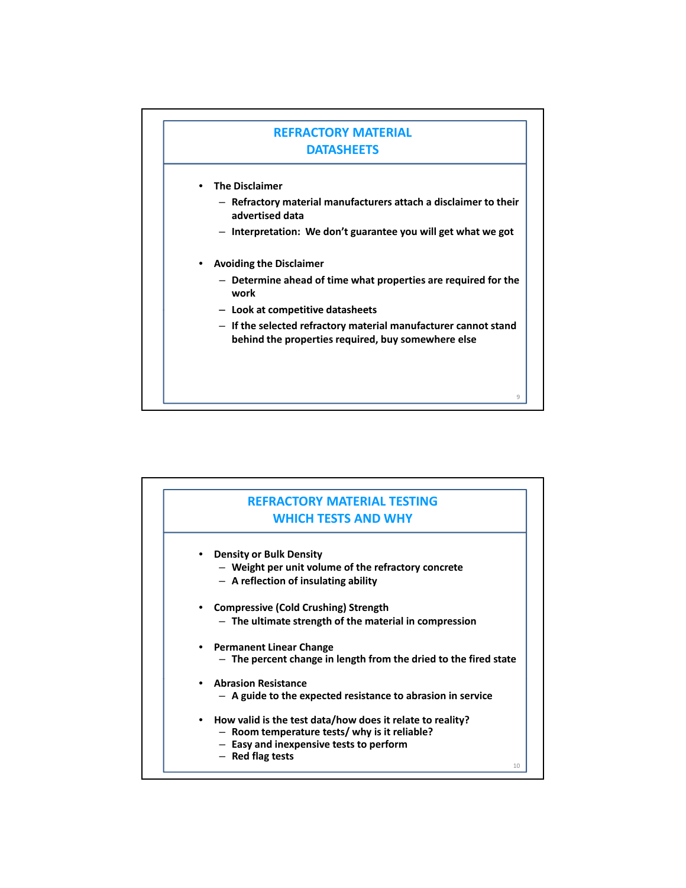## **REFRACTORY MATERIAL DATASHEETS**

- **The Disclaimer**
	- **Refractory material manufacturers attach a disclaimer to their advertised data**
	- **Interpretation: We don't guarantee you will get what we got**
- **Avoiding the Disclaimer**
	- **Determine ahead of time what properties are required for the work**
	- **Look at competitive datasheets**
	- **If the selected refractory material manufacturer cannot stand behind the properties required, buy somewhere else**

9

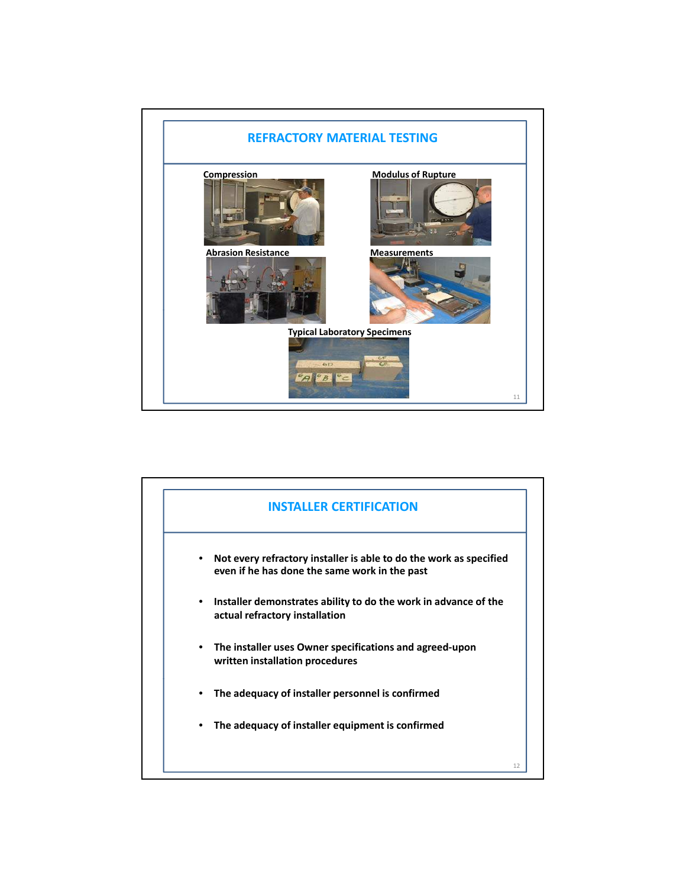

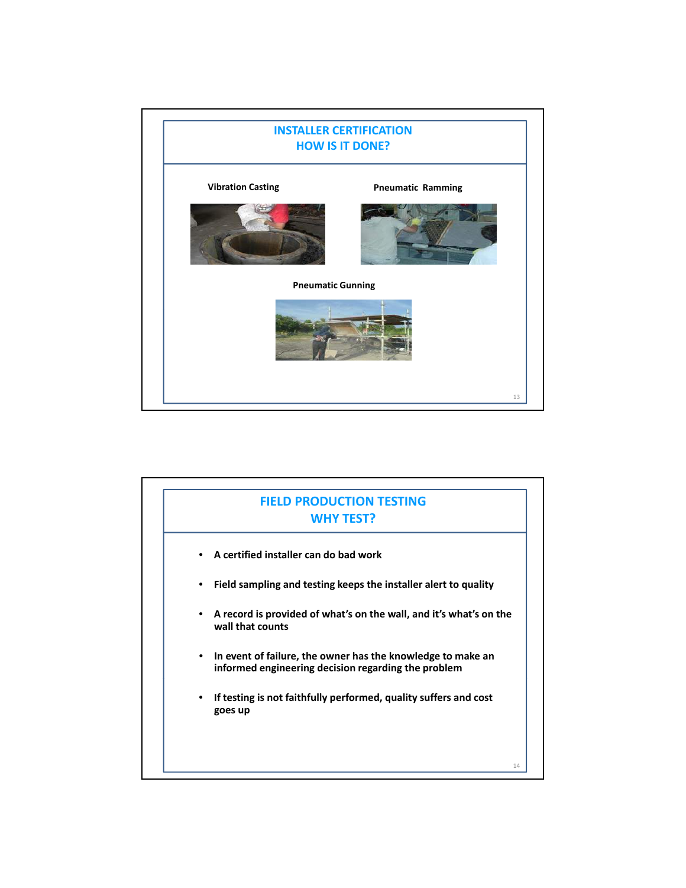

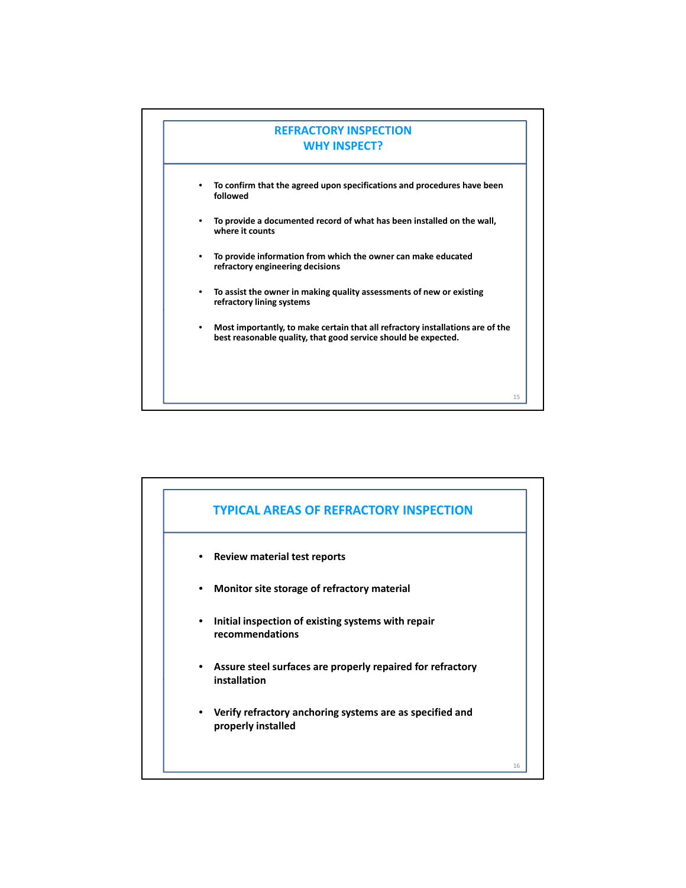

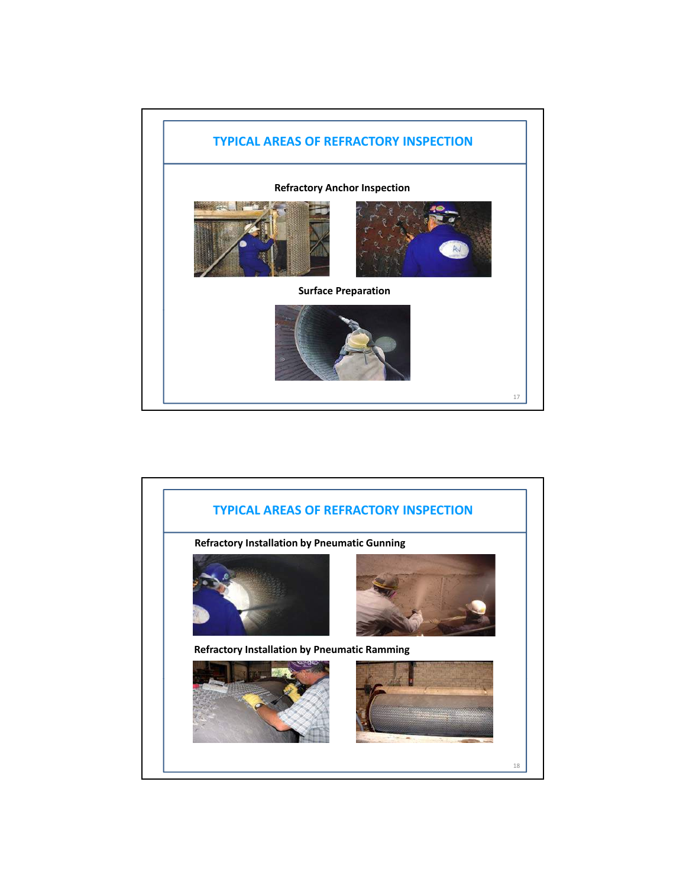

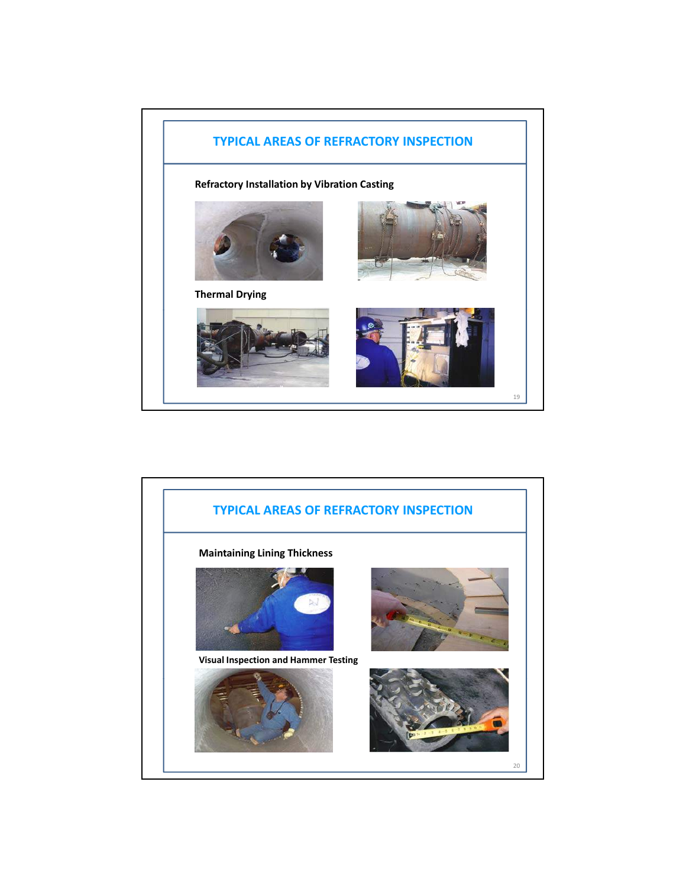

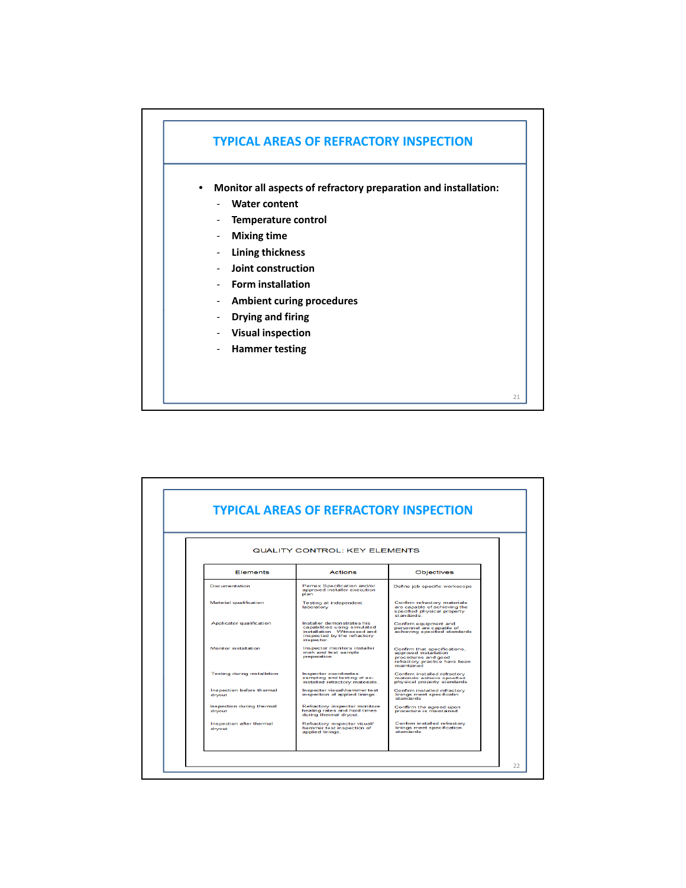

• **Monitor all aspects of refractory preparation and installation:**

21

- ‐ **Water content**
- ‐ **Temperature control**
- ‐ **Mixing time**
- ‐ **Lining thickness**
- ‐ **Joint construction**
- ‐ **Form installation**
- ‐ **Ambient curing procedures**
- ‐ **Drying and firing**
- ‐ **Visual inspection**
- ‐ **Hammer testing**